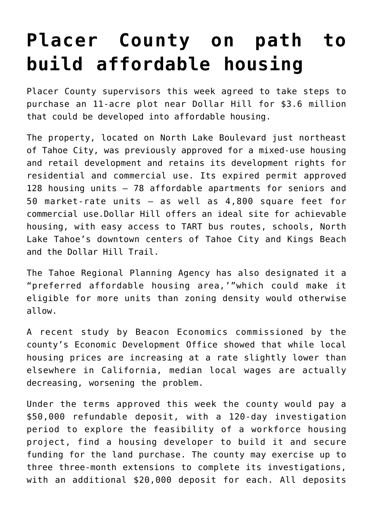### **[Placer County on path to](https://www.laketahoenews.net/2018/07/placer-county-on-path-to-build-affordable-housing/) [build affordable housing](https://www.laketahoenews.net/2018/07/placer-county-on-path-to-build-affordable-housing/)**

Placer County supervisors this week agreed to take steps to purchase an 11-acre plot near Dollar Hill for \$3.6 million that could be developed into affordable housing.

The property, located on North Lake Boulevard just northeast of Tahoe City, was previously approved for a mixed-use housing and retail development and retains its development rights for residential and commercial use. Its expired permit approved 128 housing units – 78 affordable apartments for seniors and 50 market-rate units – as well as 4,800 square feet for commercial use.Dollar Hill offers an ideal site for achievable housing, with easy access to TART bus routes, schools, North Lake Tahoe's downtown centers of Tahoe City and Kings Beach and the Dollar Hill Trail.

The Tahoe Regional Planning Agency has also designated it a "preferred affordable housing area,'"which could make it eligible for more units than zoning density would otherwise allow.

A recent study by Beacon Economics commissioned by the county's Economic Development Office showed that while local housing prices are increasing at a rate slightly lower than elsewhere in California, median local wages are actually decreasing, worsening the problem.

Under the terms approved this week the county would pay a \$50,000 refundable deposit, with a 120-day investigation period to explore the feasibility of a workforce housing project, find a housing developer to build it and secure funding for the land purchase. The county may exercise up to three three-month extensions to complete its investigations, with an additional \$20,000 deposit for each. All deposits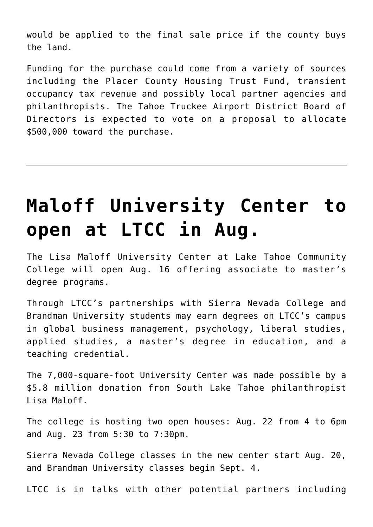would be applied to the final sale price if the county buys the land.

Funding for the purchase could come from a variety of sources including the Placer County Housing Trust Fund, transient occupancy tax revenue and possibly local partner agencies and philanthropists. The Tahoe Truckee Airport District Board of Directors is expected to vote on a proposal to allocate \$500,000 toward the purchase.

## **[Maloff University Center to](https://www.laketahoenews.net/2018/07/maloff-university-center-to-open-at-ltcc-in-aug/) [open at LTCC in Aug.](https://www.laketahoenews.net/2018/07/maloff-university-center-to-open-at-ltcc-in-aug/)**

The Lisa Maloff University Center at Lake Tahoe Community College will open Aug. 16 offering associate to master's degree programs.

Through LTCC's partnerships with Sierra Nevada College and Brandman University students may earn degrees on LTCC's campus in global business management, psychology, liberal studies, applied studies, a master's degree in education, and a teaching credential.

The 7,000-square-foot University Center was made possible by a \$5.8 million donation from South Lake Tahoe philanthropist Lisa Maloff.

The college is hosting two open houses: Aug. 22 from 4 to 6pm and Aug. 23 from 5:30 to 7:30pm.

Sierra Nevada College classes in the new center start Aug. 20, and Brandman University classes begin Sept. 4.

LTCC is in talks with other potential partners including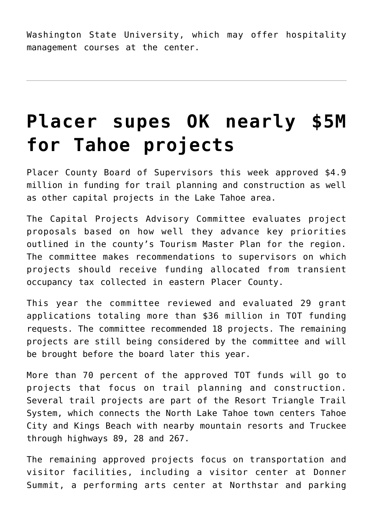Washington State University, which may offer hospitality management courses at the center.

## **[Placer supes OK nearly \\$5M](https://www.laketahoenews.net/2018/07/placer-supes-ok-nearly-5m-for-tahoe-projects/) [for Tahoe projects](https://www.laketahoenews.net/2018/07/placer-supes-ok-nearly-5m-for-tahoe-projects/)**

Placer County Board of Supervisors this week approved \$4.9 million in funding for trail planning and construction as well as other capital projects in the Lake Tahoe area.

The Capital Projects Advisory Committee evaluates project proposals based on how well they advance key priorities outlined in the county's Tourism Master Plan for the region. The committee makes recommendations to supervisors on which projects should receive funding allocated from transient occupancy tax collected in eastern Placer County.

This year the committee reviewed and evaluated 29 grant applications totaling more than \$36 million in TOT funding requests. The committee recommended 18 projects. The remaining projects are still being considered by the committee and will be brought before the board later this year.

More than 70 percent of the approved TOT funds will go to projects that focus on trail planning and construction. Several trail projects are part of the Resort Triangle Trail System, which connects the North Lake Tahoe town centers Tahoe City and Kings Beach with nearby mountain resorts and Truckee through highways 89, 28 and 267.

The remaining approved projects focus on transportation and visitor facilities, including a visitor center at Donner Summit, a performing arts center at Northstar and parking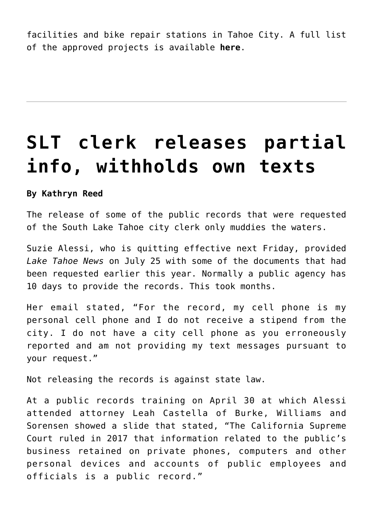facilities and bike repair stations in Tahoe City. A full list of the approved projects is available **[here](https://www.placer.ca.gov/upload/bos/cob/documents/sumarchv/2018/180724A/4.A.pdf)**.

## **[SLT clerk releases partial](https://www.laketahoenews.net/2018/07/slt-clerk-releases-partial-info-withholds-own-texts/) [info, withholds own texts](https://www.laketahoenews.net/2018/07/slt-clerk-releases-partial-info-withholds-own-texts/)**

#### **By Kathryn Reed**

The release of some of the public records that were requested of the South Lake Tahoe city clerk only muddies the waters.

Suzie Alessi, who is quitting effective next Friday, provided *Lake Tahoe News* on July 25 with some of the documents that had been requested earlier this year. Normally a public agency has 10 days to provide the records. This took months.

Her email stated, "For the record, my cell phone is my personal cell phone and I do not receive a stipend from the city. I do not have a city cell phone as you erroneously reported and am not providing my text messages pursuant to your request."

Not releasing the records is against state law.

At a public records training on April 30 at which Alessi attended attorney Leah Castella of Burke, Williams and Sorensen showed a slide that stated, "The California Supreme Court ruled in 2017 that information related to the public's business retained on private phones, computers and other personal devices and accounts of public employees and officials is a public record."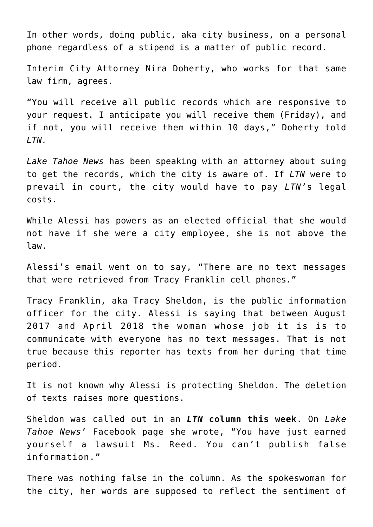In other words, doing public, aka city business, on a personal phone regardless of a stipend is a matter of public record.

Interim City Attorney Nira Doherty, who works for that same law firm, agrees.

"You will receive all public records which are responsive to your request. I anticipate you will receive them (Friday), and if not, you will receive them within 10 days," Doherty told *LTN.*

*Lake Tahoe News* has been speaking with an attorney about suing to get the records, which the city is aware of. If *LTN* were to prevail in court, the city would have to pay *LTN'*s legal costs.

While Alessi has powers as an elected official that she would not have if she were a city employee, she is not above the law.

Alessi's email went on to say, "There are no text messages that were retrieved from Tracy Franklin cell phones."

Tracy Franklin, aka Tracy Sheldon, is the public information officer for the city. Alessi is saying that between August 2017 and April 2018 the woman whose job it is is to communicate with everyone has no text messages. That is not true because this reporter has texts from her during that time period.

It is not known why Alessi is protecting Sheldon. The deletion of texts raises more questions.

Sheldon was called out in an *[LTN](https://www.laketahoenews.net/2018/07/opinion-dysfunction-becoming-the-norm-in-slt/)* **[column this week](https://www.laketahoenews.net/2018/07/opinion-dysfunction-becoming-the-norm-in-slt/)**. On *Lake Tahoe News*' Facebook page she wrote, "You have just earned yourself a lawsuit Ms. Reed. You can't publish false information."

There was nothing false in the column. As the spokeswoman for the city, her words are supposed to reflect the sentiment of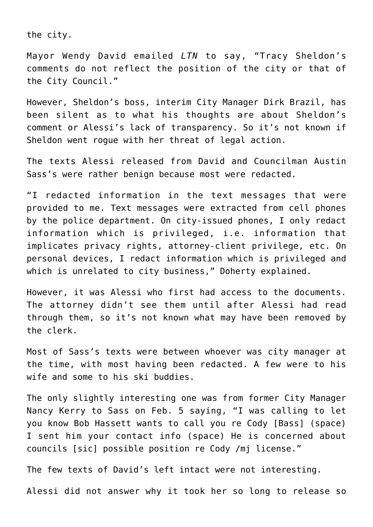the city.

Mayor Wendy David emailed *LTN* to say, "Tracy Sheldon's comments do not reflect the position of the city or that of the City Council."

However, Sheldon's boss, interim City Manager Dirk Brazil, has been silent as to what his thoughts are about Sheldon's comment or Alessi's lack of transparency. So it's not known if Sheldon went rogue with her threat of legal action.

The texts Alessi released from David and Councilman Austin Sass's were rather benign because most were redacted.

"I redacted information in the text messages that were provided to me. Text messages were extracted from cell phones by the police department. On city-issued phones, I only redact information which is privileged, i.e. information that implicates privacy rights, attorney-client privilege, etc. On personal devices, I redact information which is privileged and which is unrelated to city business," Doherty explained.

However, it was Alessi who first had access to the documents. The attorney didn't see them until after Alessi had read through them, so it's not known what may have been removed by the clerk.

Most of Sass's texts were between whoever was city manager at the time, with most having been redacted. A few were to his wife and some to his ski buddies.

The only slightly interesting one was from former City Manager Nancy Kerry to Sass on Feb. 5 saying, "I was calling to let you know Bob Hassett wants to call you re Cody [Bass] (space) I sent him your contact info (space) He is concerned about councils [sic] possible position re Cody /mj license."

The few texts of David's left intact were not interesting.

Alessi did not answer why it took her so long to release so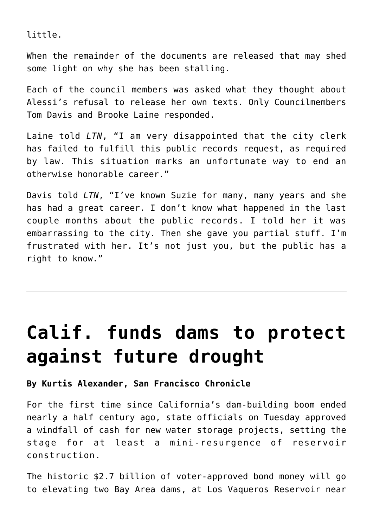little.

When the remainder of the documents are released that may shed some light on why she has been stalling.

Each of the council members was asked what they thought about Alessi's refusal to release her own texts. Only Councilmembers Tom Davis and Brooke Laine responded.

Laine told *LTN*, "I am very disappointed that the city clerk has failed to fulfill this public records request, as required by law. This situation marks an unfortunate way to end an otherwise honorable career."

Davis told *LTN*, "I've known Suzie for many, many years and she has had a great career. I don't know what happened in the last couple months about the public records. I told her it was embarrassing to the city. Then she gave you partial stuff. I'm frustrated with her. It's not just you, but the public has a right to know."

## **[Calif. funds dams to protect](https://www.laketahoenews.net/2018/07/calif-funds-dams-to-protect-against-future-drought/) [against future drought](https://www.laketahoenews.net/2018/07/calif-funds-dams-to-protect-against-future-drought/)**

**By Kurtis Alexander, San Francisco Chronicle**

For the first time since California's dam-building boom ended nearly a half century ago, state officials on Tuesday approved a windfall of cash for new water storage projects, setting the stage for at least a mini-resurgence of reservoir construction.

The historic \$2.7 billion of voter-approved bond money will go to elevating two Bay Area dams, at Los Vaqueros Reservoir near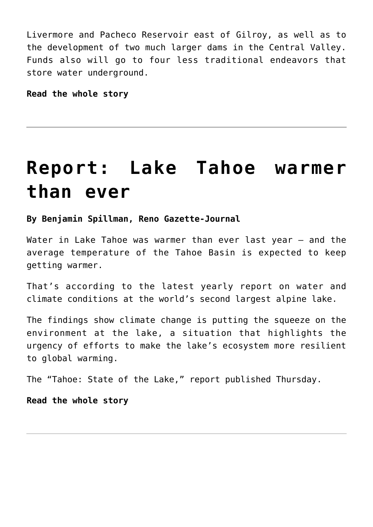Livermore and Pacheco Reservoir east of Gilroy, as well as to the development of two much larger dams in the Central Valley. Funds also will go to four less traditional endeavors that store water underground.

**[Read the whole story](https://www.sfchronicle.com/science/article/California-funds-new-dams-to-protect-against-13101961.php)**

### **[Report: Lake Tahoe warmer](https://www.laketahoenews.net/2018/07/report-lake-tahoe-warmer-than-ever/) [than ever](https://www.laketahoenews.net/2018/07/report-lake-tahoe-warmer-than-ever/)**

#### **By Benjamin Spillman, Reno Gazette-Journal**

Water in Lake Tahoe was warmer than ever last year – and the average temperature of the Tahoe Basin is expected to keep getting warmer.

That's according to the latest yearly report on water and climate conditions at the world's second largest alpine lake.

The findings show climate change is putting the squeeze on the environment at the lake, a situation that highlights the urgency of efforts to make the lake's ecosystem more resilient to global warming.

The "Tahoe: State of the Lake," report published Thursday.

**[Read the whole story](https://www.rgj.com/story/life/outdoors/2018/07/26/lake-tahoe-warmer-than-ever-and-still-warming/844856002/)**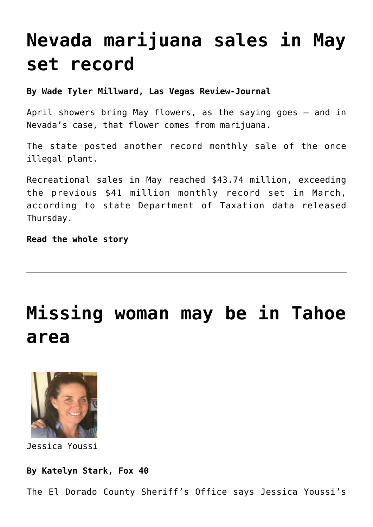## **[Nevada marijuana sales in May](https://www.laketahoenews.net/2018/07/nevada-marijuana-sales-in-may-set-record/) [set record](https://www.laketahoenews.net/2018/07/nevada-marijuana-sales-in-may-set-record/)**

**By Wade Tyler Millward, Las Vegas Review-Journal**

April showers bring May flowers, as the saying goes — and in Nevada's case, that flower comes from marijuana.

The state posted another record monthly sale of the once illegal plant.

Recreational sales in May reached \$43.74 million, exceeding the previous \$41 million monthly record set in March, according to state Department of Taxation data released Thursday.

**[Read the whole story](https://www.reviewjournal.com/news/pot-news/nevada-saw-47m-in-marijuana-sales-in-may-breaking-march-record/)**

### **[Missing woman may be in Tahoe](https://www.laketahoenews.net/2018/07/missing-woman-may-be-in-tahoe-area/) [area](https://www.laketahoenews.net/2018/07/missing-woman-may-be-in-tahoe-area/)**



Jessica Youssi

#### **By Katelyn Stark, Fox 40**

The El Dorado County Sheriff's Office says Jessica Youssi's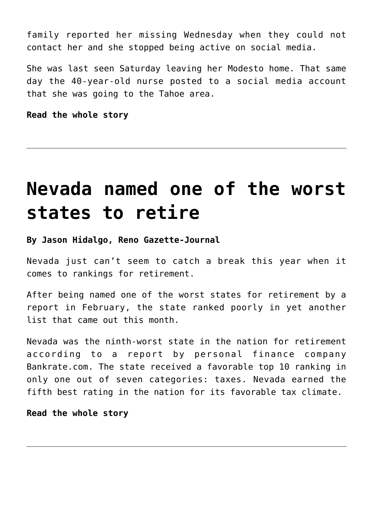family reported her missing Wednesday when they could not contact her and she stopped being active on social media.

She was last seen Saturday leaving her Modesto home. That same day the 40-year-old nurse posted to a social media account that she was going to the Tahoe area.

**[Read the whole story](https://fox40.com/2018/07/26/family-searching-for-missing-modesto-nurse/)**

### **[Nevada named one of the worst](https://www.laketahoenews.net/2018/07/nevada-named-one-of-worst-states-to-retire/) [states to retire](https://www.laketahoenews.net/2018/07/nevada-named-one-of-worst-states-to-retire/)**

**By Jason Hidalgo, Reno Gazette-Journal**

Nevada just can't seem to catch a break this year when it comes to rankings for retirement.

After being named one of the worst states for retirement by a report in February, the state ranked poorly in yet another list that came out this month.

Nevada was the ninth-worst state in the nation for retirement according to a report by personal finance company Bankrate.com. The state received a favorable top 10 ranking in only one out of seven categories: taxes. Nevada earned the fifth best rating in the nation for its favorable tax climate.

#### **[Read the whole story](https://www.rgj.com/story/money/business/2018/07/24/nevada-worst-states-retire-retirement/823555002/)**